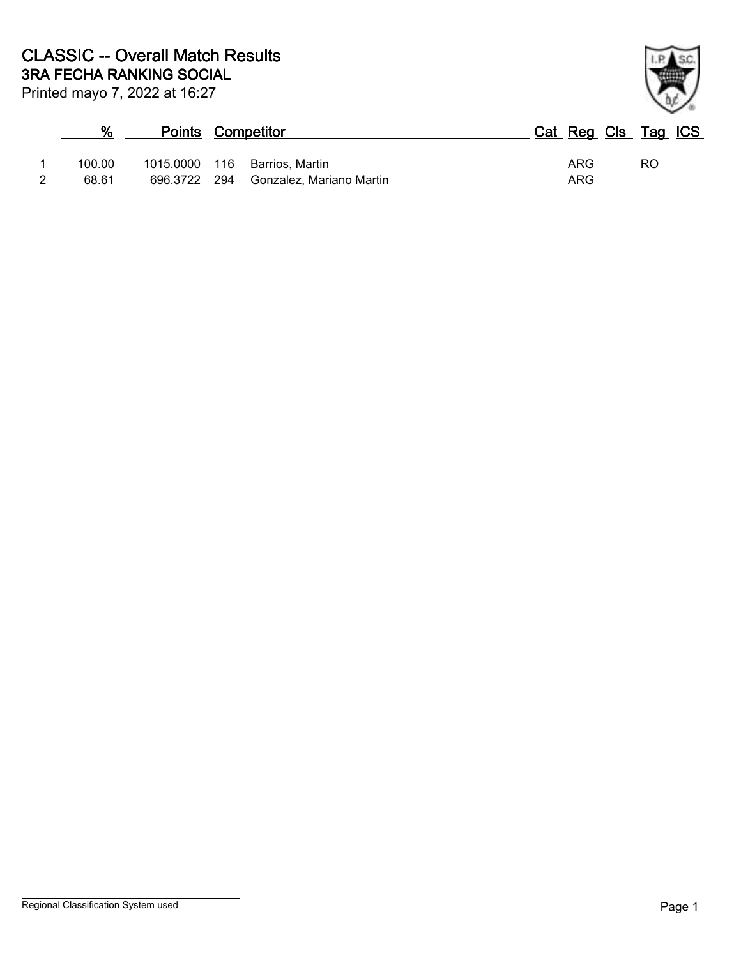| $\%$   | <b>Points Competitor</b> |                               | Cat Reg Cls Tag ICS |     |    |  |
|--------|--------------------------|-------------------------------|---------------------|-----|----|--|
| 100.00 |                          | 1015.0000 116 Barrios, Martin |                     | ARG | RO |  |
| 68.61  | 696.3722 294             | Gonzalez, Mariano Martin      |                     | ARG |    |  |

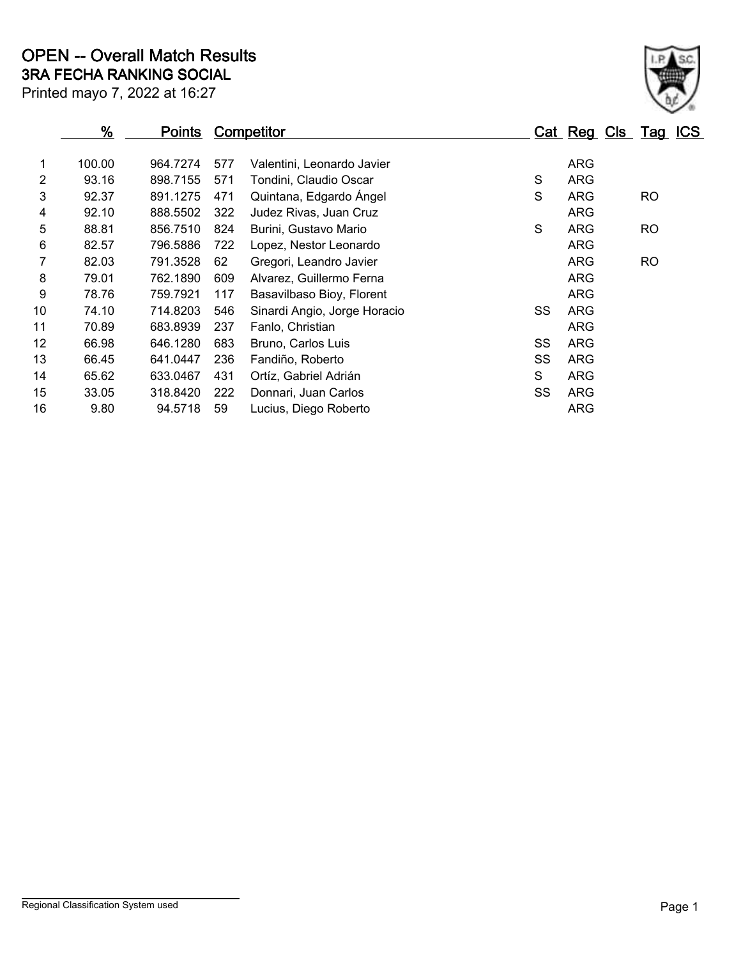|    | %<br><b>Points</b> |          | <b>Competitor</b> |                              |    |            | Cat Reg Cls Tag ICS |
|----|--------------------|----------|-------------------|------------------------------|----|------------|---------------------|
| 1  | 100.00             | 964.7274 | 577               | Valentini, Leonardo Javier   |    | <b>ARG</b> |                     |
| 2  | 93.16              | 898.7155 | 571               | Tondini, Claudio Oscar       | S  | <b>ARG</b> |                     |
| 3  | 92.37              | 891.1275 | 471               | Quintana, Edgardo Ángel      | S  | ARG        | <b>RO</b>           |
| 4  | 92.10              | 888.5502 | 322               | Judez Rivas, Juan Cruz       |    | ARG        |                     |
| 5  | 88.81              | 856.7510 | 824               | Burini, Gustavo Mario        | S  | ARG        | <b>RO</b>           |
| 6  | 82.57              | 796.5886 | 722               | Lopez, Nestor Leonardo       |    | ARG        |                     |
|    | 82.03              | 791.3528 | 62                | Gregori, Leandro Javier      |    | <b>ARG</b> | <b>RO</b>           |
| 8  | 79.01              | 762.1890 | 609               | Alvarez, Guillermo Ferna     |    | ARG        |                     |
| 9  | 78.76              | 759.7921 | 117               | Basavilbaso Bioy, Florent    |    | ARG        |                     |
| 10 | 74.10              | 714.8203 | 546               | Sinardi Angio, Jorge Horacio | SS | <b>ARG</b> |                     |
| 11 | 70.89              | 683.8939 | 237               | Fanlo, Christian             |    | ARG        |                     |
| 12 | 66.98              | 646.1280 | 683               | Bruno, Carlos Luis           | SS | <b>ARG</b> |                     |
| 13 | 66.45              | 641.0447 | 236               | Fandiño, Roberto             | SS | <b>ARG</b> |                     |
| 14 | 65.62              | 633.0467 | 431               | Ortíz, Gabriel Adrián        | S  | <b>ARG</b> |                     |
| 15 | 33.05              | 318.8420 | 222               | Donnari, Juan Carlos         | SS | <b>ARG</b> |                     |
| 16 | 9.80               | 94.5718  | 59                | Lucius, Diego Roberto        |    | <b>ARG</b> |                     |

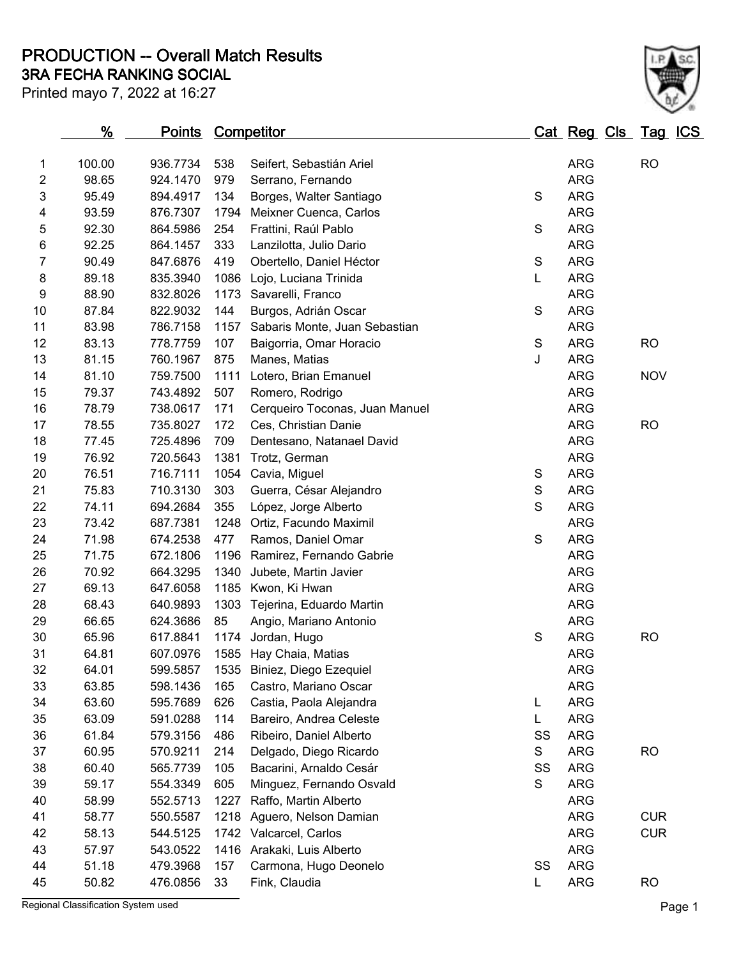**3RA FECHA RANKING SOCIAL PRODUCTION -- Overall Match Results**

Printed mayo 7, 2022 at 16:27



|    | %      | <u>Points</u> |      | <b>Competitor</b>              |             | <u>Cat Reg Cls Tag ICS</u> |            |  |
|----|--------|---------------|------|--------------------------------|-------------|----------------------------|------------|--|
| 1  | 100.00 | 936.7734      | 538  | Seifert, Sebastián Ariel       |             | <b>ARG</b>                 | <b>RO</b>  |  |
| 2  | 98.65  | 924.1470      | 979  | Serrano, Fernando              |             | <b>ARG</b>                 |            |  |
| 3  | 95.49  | 894.4917      | 134  | Borges, Walter Santiago        | S           | <b>ARG</b>                 |            |  |
| 4  | 93.59  | 876.7307      | 1794 | Meixner Cuenca, Carlos         |             | <b>ARG</b>                 |            |  |
| 5  | 92.30  | 864.5986      | 254  | Frattini, Raúl Pablo           | S           | <b>ARG</b>                 |            |  |
| 6  | 92.25  | 864.1457      | 333  | Lanzilotta, Julio Dario        |             | <b>ARG</b>                 |            |  |
| 7  | 90.49  | 847.6876      | 419  | Obertello, Daniel Héctor       | $\mathbf S$ | <b>ARG</b>                 |            |  |
| 8  | 89.18  | 835.3940      | 1086 | Lojo, Luciana Trinida          | L           | <b>ARG</b>                 |            |  |
| 9  | 88.90  | 832.8026      | 1173 | Savarelli, Franco              |             | <b>ARG</b>                 |            |  |
| 10 | 87.84  | 822.9032      | 144  | Burgos, Adrián Oscar           | S           | <b>ARG</b>                 |            |  |
| 11 | 83.98  | 786.7158      | 1157 | Sabaris Monte, Juan Sebastian  |             | <b>ARG</b>                 |            |  |
| 12 | 83.13  | 778.7759      | 107  | Baigorria, Omar Horacio        | $\mathbf S$ | <b>ARG</b>                 | <b>RO</b>  |  |
| 13 | 81.15  | 760.1967      | 875  | Manes, Matias                  | J           | <b>ARG</b>                 |            |  |
| 14 | 81.10  | 759.7500      | 1111 | Lotero, Brian Emanuel          |             | <b>ARG</b>                 | <b>NOV</b> |  |
| 15 | 79.37  | 743.4892      | 507  | Romero, Rodrigo                |             | <b>ARG</b>                 |            |  |
| 16 | 78.79  | 738.0617      | 171  | Cerqueiro Toconas, Juan Manuel |             | <b>ARG</b>                 |            |  |
| 17 | 78.55  | 735.8027      | 172  | Ces, Christian Danie           |             | <b>ARG</b>                 | <b>RO</b>  |  |
| 18 | 77.45  | 725.4896      | 709  | Dentesano, Natanael David      |             | <b>ARG</b>                 |            |  |
| 19 | 76.92  | 720.5643      | 1381 | Trotz, German                  |             | <b>ARG</b>                 |            |  |
| 20 | 76.51  | 716.7111      | 1054 | Cavia, Miguel                  | S           | <b>ARG</b>                 |            |  |
| 21 | 75.83  | 710.3130      | 303  | Guerra, César Alejandro        | S           | <b>ARG</b>                 |            |  |
| 22 | 74.11  | 694.2684      | 355  | López, Jorge Alberto           | S           | <b>ARG</b>                 |            |  |
| 23 | 73.42  | 687.7381      | 1248 | Ortiz, Facundo Maximil         |             | <b>ARG</b>                 |            |  |
| 24 | 71.98  | 674.2538      | 477  | Ramos, Daniel Omar             | S           | <b>ARG</b>                 |            |  |
| 25 | 71.75  | 672.1806      | 1196 | Ramirez, Fernando Gabrie       |             | <b>ARG</b>                 |            |  |
| 26 | 70.92  | 664.3295      | 1340 | Jubete, Martin Javier          |             | <b>ARG</b>                 |            |  |
| 27 | 69.13  | 647.6058      | 1185 | Kwon, Ki Hwan                  |             | <b>ARG</b>                 |            |  |
| 28 | 68.43  | 640.9893      | 1303 | Tejerina, Eduardo Martin       |             | <b>ARG</b>                 |            |  |
| 29 | 66.65  | 624.3686      | 85   | Angio, Mariano Antonio         |             | <b>ARG</b>                 |            |  |
| 30 | 65.96  | 617.8841      |      | 1174 Jordan, Hugo              | S           | <b>ARG</b>                 | <b>RO</b>  |  |
| 31 | 64.81  | 607.0976      |      | 1585 Hay Chaia, Matias         |             | <b>ARG</b>                 |            |  |
| 32 | 64.01  | 599.5857      |      | 1535 Biniez, Diego Ezequiel    |             | <b>ARG</b>                 |            |  |
| 33 | 63.85  | 598.1436      | 165  | Castro, Mariano Oscar          |             | <b>ARG</b>                 |            |  |
| 34 | 63.60  | 595.7689      | 626  | Castia, Paola Alejandra        | L           | <b>ARG</b>                 |            |  |
| 35 | 63.09  | 591.0288      | 114  | Bareiro, Andrea Celeste        | L           | <b>ARG</b>                 |            |  |
| 36 | 61.84  | 579.3156      | 486  | Ribeiro, Daniel Alberto        | SS          | <b>ARG</b>                 |            |  |
| 37 | 60.95  | 570.9211      | 214  | Delgado, Diego Ricardo         | S           | <b>ARG</b>                 | <b>RO</b>  |  |
| 38 | 60.40  | 565.7739      | 105  | Bacarini, Arnaldo Cesár        | SS          | <b>ARG</b>                 |            |  |
| 39 | 59.17  | 554.3349      | 605  | Minguez, Fernando Osvald       | S           | <b>ARG</b>                 |            |  |
| 40 | 58.99  | 552.5713      | 1227 | Raffo, Martin Alberto          |             | <b>ARG</b>                 |            |  |
| 41 | 58.77  | 550.5587      | 1218 | Aguero, Nelson Damian          |             | <b>ARG</b>                 | <b>CUR</b> |  |
| 42 | 58.13  | 544.5125      | 1742 | Valcarcel, Carlos              |             | <b>ARG</b>                 | <b>CUR</b> |  |
| 43 | 57.97  | 543.0522      | 1416 | Arakaki, Luis Alberto          |             | <b>ARG</b>                 |            |  |
| 44 | 51.18  | 479.3968      | 157  | Carmona, Hugo Deonelo          | SS          | <b>ARG</b>                 |            |  |
| 45 | 50.82  | 476.0856      | 33   | Fink, Claudia                  | L.          | <b>ARG</b>                 | <b>RO</b>  |  |
|    |        |               |      |                                |             |                            |            |  |

Regional Classification System used **Page 1**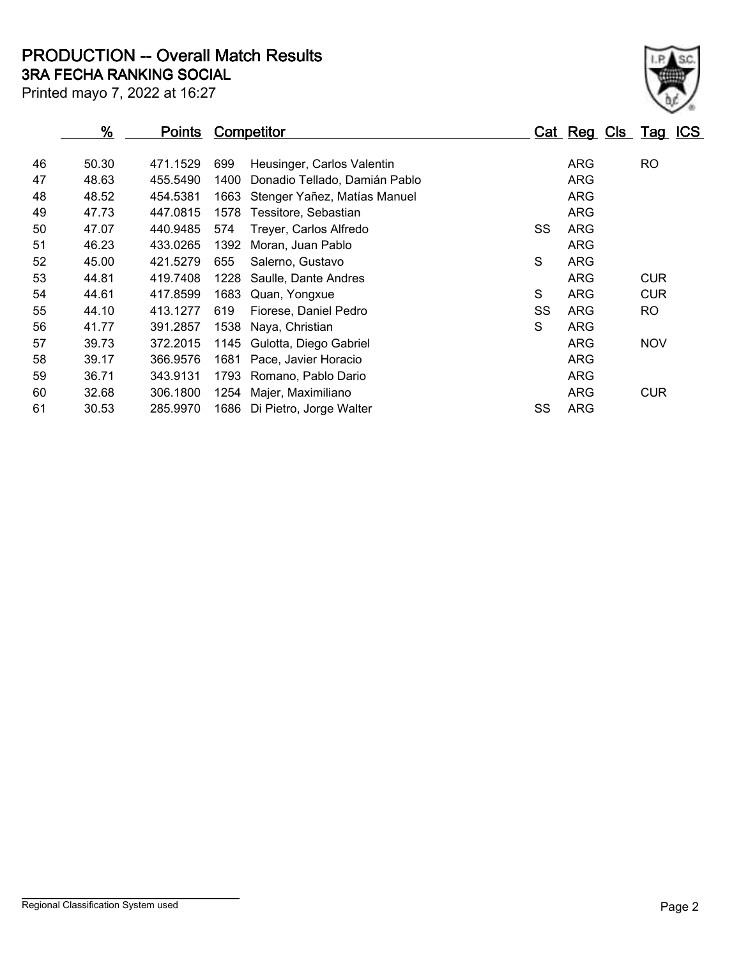**3RA FECHA RANKING SOCIAL PRODUCTION -- Overall Match Results**

| Printed mayo 7, 2022 at 16:27 |  |  |  |  |
|-------------------------------|--|--|--|--|

|    | $\frac{9}{6}$ | <b>Points</b> | <b>Competitor</b>                     |    |            | Cat Reg Cls Tag ICS |
|----|---------------|---------------|---------------------------------------|----|------------|---------------------|
| 46 | 50.30         | 471.1529      | 699<br>Heusinger, Carlos Valentin     |    | ARG        | RO                  |
| 47 | 48.63         | 455.5490      | 1400<br>Donadio Tellado, Damián Pablo |    | <b>ARG</b> |                     |
| 48 | 48.52         | 454.5381      | 1663<br>Stenger Yañez, Matías Manuel  |    | <b>ARG</b> |                     |
| 49 | 47.73         | 447.0815      | 1578<br>Tessitore, Sebastian          |    | <b>ARG</b> |                     |
| 50 | 47.07         | 440.9485      | 574<br>Treyer, Carlos Alfredo         | SS | <b>ARG</b> |                     |
| 51 | 46.23         | 433.0265      | 1392<br>Moran, Juan Pablo             |    | <b>ARG</b> |                     |
| 52 | 45.00         | 421.5279      | 655<br>Salerno, Gustavo               | S  | <b>ARG</b> |                     |
| 53 | 44.81         | 419.7408      | 1228<br>Saulle, Dante Andres          |    | <b>ARG</b> | <b>CUR</b>          |
| 54 | 44.61         | 417.8599      | 1683<br>Quan, Yongxue                 | S  | ARG        | <b>CUR</b>          |
| 55 | 44.10         | 413.1277      | 619<br>Fiorese, Daniel Pedro          | SS | ARG        | <b>RO</b>           |
| 56 | 41.77         | 391.2857      | 1538<br>Naya, Christian               | S  | <b>ARG</b> |                     |
| 57 | 39.73         | 372.2015      | 1145<br>Gulotta, Diego Gabriel        |    | <b>ARG</b> | <b>NOV</b>          |
| 58 | 39.17         | 366.9576      | 1681<br>Pace, Javier Horacio          |    | ARG        |                     |
| 59 | 36.71         | 343.9131      | 1793<br>Romano, Pablo Dario           |    | <b>ARG</b> |                     |
| 60 | 32.68         | 306.1800      | 1254<br>Majer, Maximiliano            |    | <b>ARG</b> | <b>CUR</b>          |
| 61 | 30.53         | 285.9970      | 1686<br>Di Pietro, Jorge Walter       | SS | <b>ARG</b> |                     |

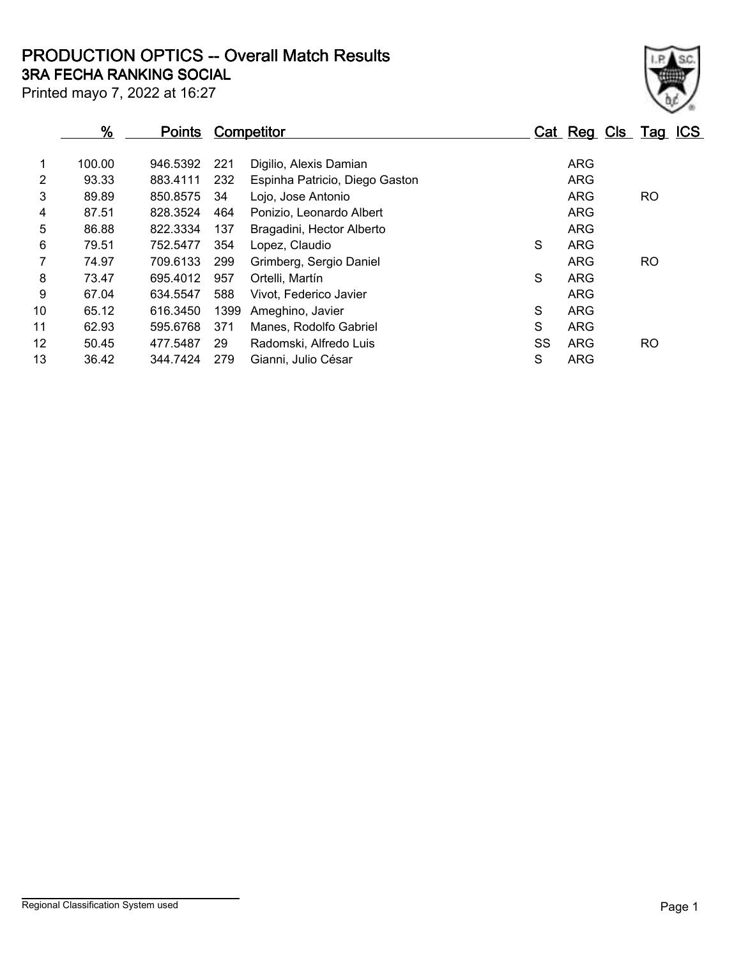## **3RA FECHA RANKING SOCIAL PRODUCTION OPTICS -- Overall Match Results**

| Printed mayo 7, 2022 at 16:27 |  |  |  |
|-------------------------------|--|--|--|
|                               |  |  |  |

| $\frac{9}{6}$<br><b>Points</b> |        | <b>Competitor</b> |      |                                | Cat Reg Cls Tag ICS |            |           |  |
|--------------------------------|--------|-------------------|------|--------------------------------|---------------------|------------|-----------|--|
|                                | 100.00 | 946.5392          | 221  | Digilio, Alexis Damian         |                     | ARG        |           |  |
| $\overline{2}$                 | 93.33  | 883.4111          | 232  | Espinha Patricio, Diego Gaston |                     | ARG        |           |  |
| 3                              | 89.89  | 850.8575          | 34   | Lojo, Jose Antonio             |                     | <b>ARG</b> | <b>RO</b> |  |
| 4                              | 87.51  | 828.3524          | 464  | Ponizio, Leonardo Albert       |                     | <b>ARG</b> |           |  |
| 5                              | 86.88  | 822.3334          | 137  | Bragadini, Hector Alberto      |                     | ARG        |           |  |
| 6                              | 79.51  | 752.5477          | 354  | Lopez, Claudio                 | S                   | <b>ARG</b> |           |  |
|                                | 74.97  | 709.6133          | 299  | Grimberg, Sergio Daniel        |                     | ARG        | <b>RO</b> |  |
| 8                              | 73.47  | 695.4012          | 957  | Ortelli, Martín                | S                   | <b>ARG</b> |           |  |
| 9                              | 67.04  | 634.5547          | 588  | Vivot. Federico Javier         |                     | <b>ARG</b> |           |  |
| 10                             | 65.12  | 616.3450          | 1399 | Ameghino, Javier               | S                   | ARG        |           |  |
| 11                             | 62.93  | 595.6768          | 371  | Manes, Rodolfo Gabriel         | S                   | ARG        |           |  |
| 12                             | 50.45  | 477.5487          | 29   | Radomski, Alfredo Luis         | SS                  | ARG        | <b>RO</b> |  |
| 13                             | 36.42  | 344.7424          | 279  | Gianni, Julio César            | S                   | ARG        |           |  |

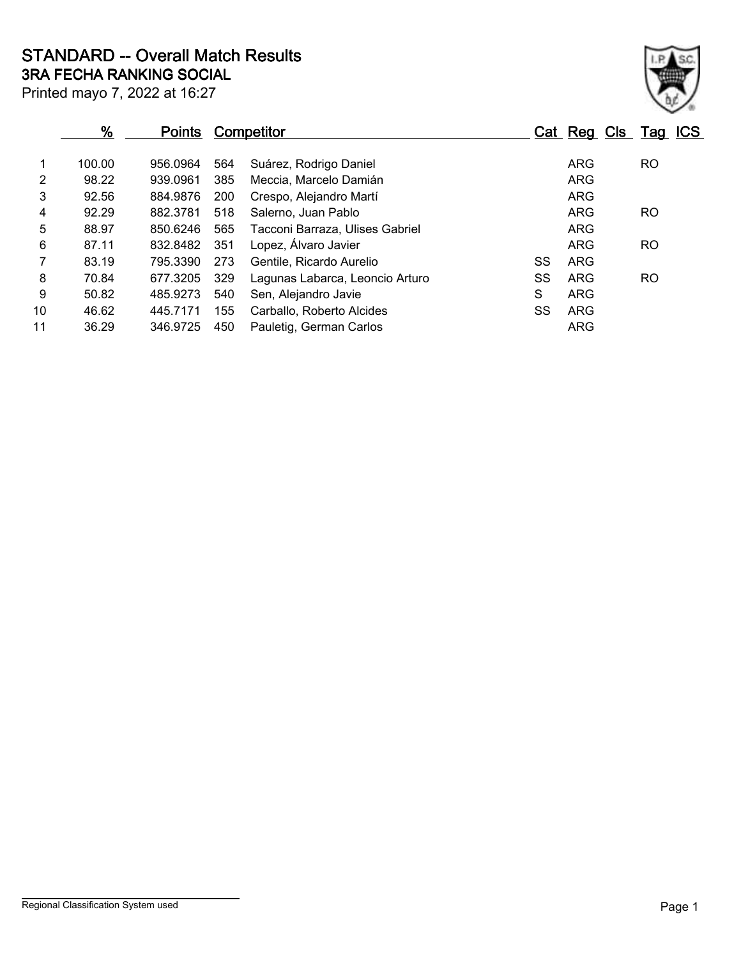Printed mayo 7, 2022 at 16:27 **3RA FECHA RANKING SOCIAL STANDARD -- Overall Match Results**

|                | %<br><b>Points</b> |          |     | <b>Competitor</b>               |    | Cat Reg Cls Tag ICS |           |  |
|----------------|--------------------|----------|-----|---------------------------------|----|---------------------|-----------|--|
|                | 100.00             | 956.0964 | 564 | Suárez, Rodrigo Daniel          |    | ARG                 | <b>RO</b> |  |
| $\overline{2}$ | 98.22              | 939.0961 | 385 | Meccia. Marcelo Damián          |    | <b>ARG</b>          |           |  |
| 3              | 92.56              | 884.9876 | 200 | Crespo, Alejandro Martí         |    | <b>ARG</b>          |           |  |
| 4              | 92.29              | 882.3781 | 518 | Salerno, Juan Pablo             |    | <b>ARG</b>          | <b>RO</b> |  |
| 5              | 88.97              | 850.6246 | 565 | Tacconi Barraza, Ulises Gabriel |    | <b>ARG</b>          |           |  |
| 6              | 87.11              | 832.8482 | 351 | Lopez, Álvaro Javier            |    | ARG                 | <b>RO</b> |  |
| $\overline{7}$ | 83.19              | 795.3390 | 273 | Gentile, Ricardo Aurelio        | SS | <b>ARG</b>          |           |  |
| 8              | 70.84              | 677.3205 | 329 | Lagunas Labarca, Leoncio Arturo | SS | ARG                 | <b>RO</b> |  |
| 9              | 50.82              | 485.9273 | 540 | Sen, Alejandro Javie            | S  | <b>ARG</b>          |           |  |
| 10             | 46.62              | 445.7171 | 155 | Carballo, Roberto Alcides       | SS | <b>ARG</b>          |           |  |
| 11             | 36.29              | 346.9725 | 450 | Pauletig, German Carlos         |    | <b>ARG</b>          |           |  |